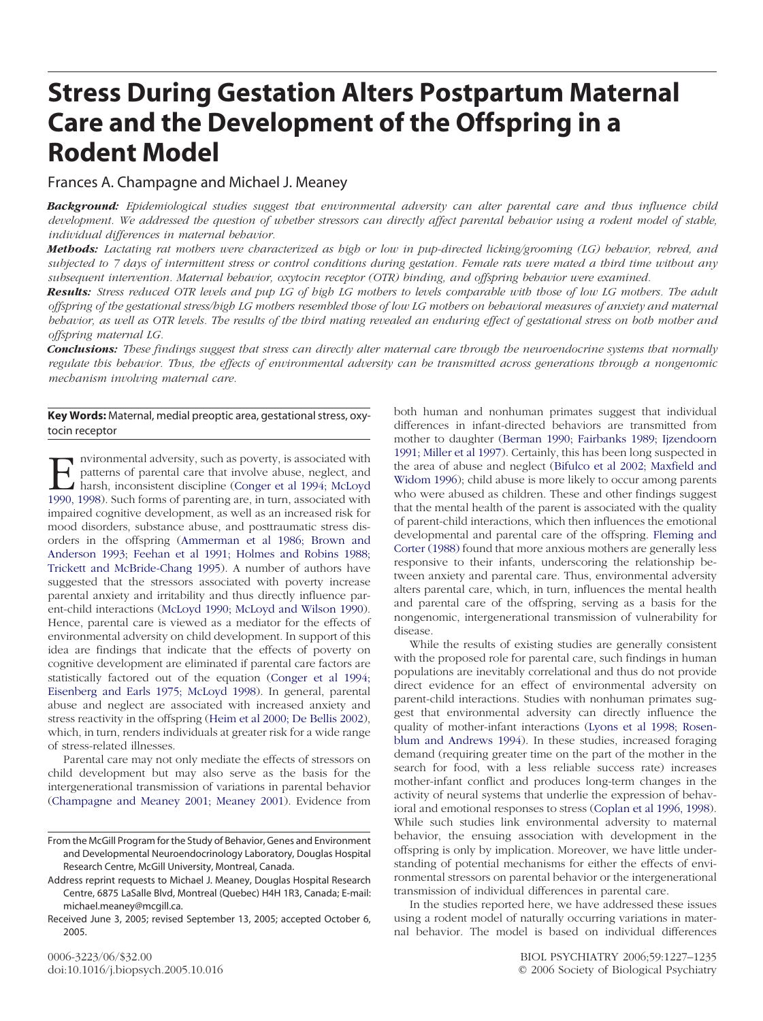# **Stress During Gestation Alters Postpartum Maternal Care and the Development of the Offspring in a Rodent Model**

## Frances A. Champagne and Michael J. Meaney

*Background: Epidemiological studies suggest that environmental adversity can alter parental care and thus influence child development. We addressed the question of whether stressors can directly affect parental behavior using a rodent model of stable, individual differences in maternal behavior.*

*Methods: Lactating rat mothers were characterized as high or low in pup-directed licking/grooming (LG) behavior, rebred, and subjected to 7 days of intermittent stress or control conditions during gestation. Female rats were mated a third time without any subsequent intervention. Maternal behavior, oxytocin receptor (OTR) binding, and offspring behavior were examined.*

*Results: Stress reduced OTR levels and pup LG of high LG mothers to levels comparable with those of low LG mothers. The adult offspring of the gestational stress/high LG mothers resembled those of low LG mothers on behavioral measures of anxiety and maternal behavior, as well as OTR levels. The results of the third mating revealed an enduring effect of gestational stress on both mother and offspring maternal LG.*

*Conclusions: These findings suggest that stress can directly alter maternal care through the neuroendocrine systems that normally regulate this behavior. Thus, the effects of environmental adversity can be transmitted across generations through a nongenomic mechanism involving maternal care.*

## **Key Words:** Maternal, medial preoptic area, gestational stress, oxytocin receptor

mvironmental adversity, such as poverty, is associated with<br>patterns of parental care that involve abuse, neglect, and<br>harsh, inconsistent discipline (Conger et al 1994; McLoyd<br>1990–1998) Such forms of parenting are in tur patterns of parental care that involve abuse, neglect, and harsh, inconsistent discipline (Conger et al 1994; McLoyd 1990, 1998). Such forms of parenting are, in turn, associated with impaired cognitive development, as well as an increased risk for mood disorders, substance abuse, and posttraumatic stress disorders in the offspring [\(Ammerman](#page-7-0) et al 1986; Brown and [Anderson](#page-7-0) 1993; Feehan et al 1991; Holmes and Robins 1988; Trickett and [McBride-Chang](#page-7-0) 1995). A number of authors have suggested that the stressors associated with poverty increase parental anxiety and irritability and thus directly influence parent-child interactions [\(McLoyd](#page-8-0) 1990; McLoyd and Wilson 1990). Hence, parental care is viewed as a mediator for the effects of environmental adversity on child development. In support of this idea are findings that indicate that the effects of poverty on cognitive development are eliminated if parental care factors are statistically factored out of the equation [\(Conger](#page-7-0) et al 1994; [Eisenberg](#page-7-0) and Earls 1975; McLoyd 1998). In general, parental abuse and neglect are associated with increased anxiety and stress reactivity in the offspring [\(Heim](#page-7-0) et al 2000; De Bellis 2002), which, in turn, renders individuals at greater risk for a wide range of stress-related illnesses.

Parental care may not only mediate the effects of stressors on child development but may also serve as the basis for the intergenerational transmission of variations in parental behavior [\(Champagne](#page-7-0) and Meaney 2001; Meaney 2001). Evidence from both human and nonhuman primates suggest that individual differences in infant-directed behaviors are transmitted from mother to daughter (Berman 1990; Fairbanks 1989; [Ijzendoorn](#page-7-0) 1991; [Miller](#page-7-0) et al 1997). Certainly, this has been long suspected in the area of abuse and neglect (Bifulco et al 2002; [Maxfield](#page-7-0) and [Widom](#page-7-0) 1996); child abuse is more likely to occur among parents who were abused as children. These and other findings suggest that the mental health of the parent is associated with the quality of parent-child interactions, which then influences the emotional developmental and parental care of the offspring. [Fleming](#page-7-0) and Corter [\(1988\)](#page-7-0) found that more anxious mothers are generally less responsive to their infants, underscoring the relationship between anxiety and parental care. Thus, environmental adversity alters parental care, which, in turn, influences the mental health and parental care of the offspring, serving as a basis for the nongenomic, intergenerational transmission of vulnerability for disease.

While the results of existing studies are generally consistent with the proposed role for parental care, such findings in human populations are inevitably correlational and thus do not provide direct evidence for an effect of environmental adversity on parent-child interactions. Studies with nonhuman primates suggest that environmental adversity can directly influence the quality of mother-infant interactions (Lyons et al 1998; [Rosen](#page-8-0)blum and [Andrews](#page-8-0) 1994). In these studies, increased foraging demand (requiring greater time on the part of the mother in the search for food, with a less reliable success rate) increases mother-infant conflict and produces long-term changes in the activity of neural systems that underlie the expression of behavioral and emotional responses to stress [\(Coplan](#page-7-0) et al 1996, 1998). While such studies link environmental adversity to maternal behavior, the ensuing association with development in the offspring is only by implication. Moreover, we have little understanding of potential mechanisms for either the effects of environmental stressors on parental behavior or the intergenerational transmission of individual differences in parental care.

In the studies reported here, we have addressed these issues using a rodent model of naturally occurring variations in maternal behavior. The model is based on individual differences

From the McGill Program for the Study of Behavior, Genes and Environment and Developmental Neuroendocrinology Laboratory, Douglas Hospital Research Centre, McGill University, Montreal, Canada.

Address reprint requests to Michael J. Meaney, Douglas Hospital Research Centre, 6875 LaSalle Blvd, Montreal (Quebec) H4H 1R3, Canada; E-mail: michael.meaney@mcgill.ca.

Received June 3, 2005; revised September 13, 2005; accepted October 6, 2005.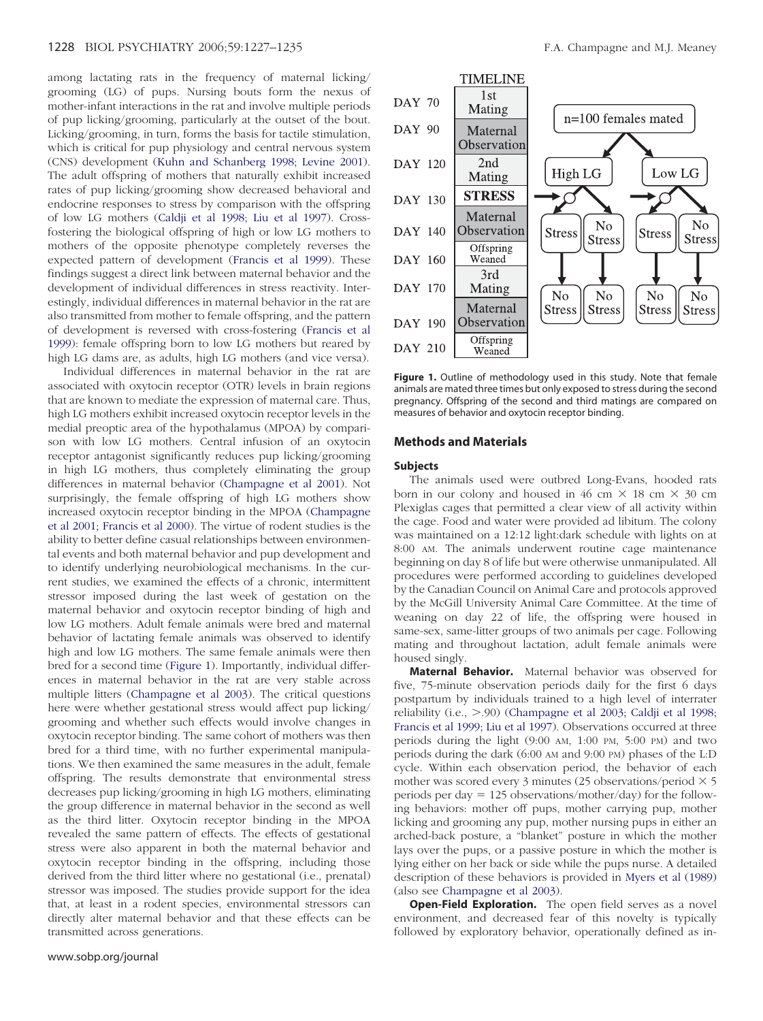<span id="page-1-0"></span>among lactating rats in the frequency of maternal licking/ grooming (LG) of pups. Nursing bouts form the nexus of mother-infant interactions in the rat and involve multiple periods of pup licking/grooming, particularly at the outset of the bout. Licking/grooming, in turn, forms the basis for tactile stimulation, which is critical for pup physiology and central nervous system (CNS) development (Kuhn and [Schanberg](#page-7-0) 1998; Levine 2001). The adult offspring of mothers that naturally exhibit increased rates of pup licking/grooming show decreased behavioral and endocrine responses to stress by comparison with the offspring of low LG mothers [\(Caldji](#page-7-0) et al 1998; Liu et al 1997). Crossfostering the biological offspring of high or low LG mothers to mothers of the opposite phenotype completely reverses the expected pattern of development [\(Francis](#page-7-0) et al 1999). These findings suggest a direct link between maternal behavior and the development of individual differences in stress reactivity. Interestingly, individual differences in maternal behavior in the rat are also transmitted from mother to female offspring, and the pattern of development is reversed with cross-fostering [\(Francis](#page-7-0) et al [1999\)](#page-7-0): female offspring born to low LG mothers but reared by high LG dams are, as adults, high LG mothers (and vice versa).

Individual differences in maternal behavior in the rat are associated with oxytocin receptor (OTR) levels in brain regions that are known to mediate the expression of maternal care. Thus, high LG mothers exhibit increased oxytocin receptor levels in the medial preoptic area of the hypothalamus (MPOA) by comparison with low LG mothers. Central infusion of an oxytocin receptor antagonist significantly reduces pup licking/grooming in high LG mothers, thus completely eliminating the group differences in maternal behavior [\(Champagne](#page-7-0) et al 2001). Not surprisingly, the female offspring of high LG mothers show increased oxytocin receptor binding in the MPOA [\(Champagne](#page-7-0) et al 2001; [Francis](#page-7-0) et al 2000). The virtue of rodent studies is the ability to better define casual relationships between environmental events and both maternal behavior and pup development and to identify underlying neurobiological mechanisms. In the current studies, we examined the effects of a chronic, intermittent stressor imposed during the last week of gestation on the maternal behavior and oxytocin receptor binding of high and low LG mothers. Adult female animals were bred and maternal behavior of lactating female animals was observed to identify high and low LG mothers. The same female animals were then bred for a second time (Figure 1). Importantly, individual differences in maternal behavior in the rat are very stable across multiple litters [\(Champagne](#page-7-0) et al 2003). The critical questions here were whether gestational stress would affect pup licking/ grooming and whether such effects would involve changes in oxytocin receptor binding. The same cohort of mothers was then bred for a third time, with no further experimental manipulations. We then examined the same measures in the adult, female offspring. The results demonstrate that environmental stress decreases pup licking/grooming in high LG mothers, eliminating the group difference in maternal behavior in the second as well as the third litter. Oxytocin receptor binding in the MPOA revealed the same pattern of effects. The effects of gestational stress were also apparent in both the maternal behavior and oxytocin receptor binding in the offspring, including those derived from the third litter where no gestational (i.e., prenatal) stressor was imposed. The studies provide support for the idea that, at least in a rodent species, environmental stressors can directly alter maternal behavior and that these effects can be transmitted across generations.



**Figure 1.** Outline of methodology used in this study. Note that female animals are mated three times but only exposed to stress during the second pregnancy. Offspring of the second and third matings are compared on measures of behavior and oxytocin receptor binding.

#### **Methods and Materials**

#### **Subjects**

The animals used were outbred Long-Evans, hooded rats born in our colony and housed in 46 cm  $\times$  18 cm  $\times$  30 cm Plexiglas cages that permitted a clear view of all activity within the cage. Food and water were provided ad libitum. The colony was maintained on a 12:12 light:dark schedule with lights on at 8:00 AM. The animals underwent routine cage maintenance beginning on day 8 of life but were otherwise unmanipulated. All procedures were performed according to guidelines developed by the Canadian Council on Animal Care and protocols approved by the McGill University Animal Care Committee. At the time of weaning on day 22 of life, the offspring were housed in same-sex, same-litter groups of two animals per cage. Following mating and throughout lactation, adult female animals were housed singly.

**Maternal Behavior.** Maternal behavior was observed for five, 75-minute observation periods daily for the first 6 days postpartum by individuals trained to a high level of interrater reliability (i.e., >.90) [\(Champagne](#page-7-0) et al 2003; Caldji et al 1998; [Francis](#page-7-0) et al 1999; Liu et al 1997). Observations occurred at three periods during the light (9:00 AM, 1:00 PM, 5:00 PM) and two periods during the dark (6:00 AM and 9:00 PM) phases of the L:D cycle. Within each observation period, the behavior of each mother was scored every 3 minutes (25 observations/period  $\times$  5 periods per day  $= 125$  observations/mother/day) for the following behaviors: mother off pups, mother carrying pup, mother licking and grooming any pup, mother nursing pups in either an arched-back posture, a "blanket" posture in which the mother lays over the pups, or a passive posture in which the mother is lying either on her back or side while the pups nurse. A detailed description of these behaviors is provided in Myers et al [\(1989\)](#page-8-0) (also see [Champagne](#page-7-0) et al 2003).

**Open-Field Exploration.** The open field serves as a novel environment, and decreased fear of this novelty is typically followed by exploratory behavior, operationally defined as in-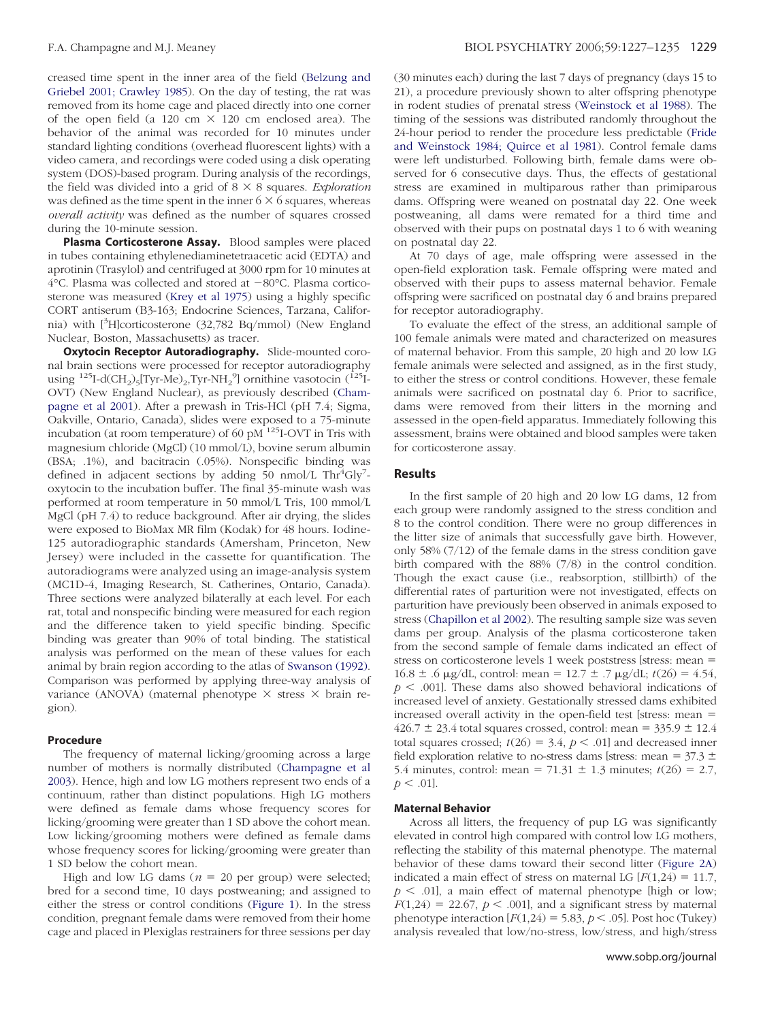creased time spent in the inner area of the field [\(Belzung](#page-7-0) and Griebel 2001; [Crawley](#page-7-0) 1985). On the day of testing, the rat was removed from its home cage and placed directly into one corner of the open field (a 120 cm  $\times$  120 cm enclosed area). The behavior of the animal was recorded for 10 minutes under standard lighting conditions (overhead fluorescent lights) with a video camera, and recordings were coded using a disk operating system (DOS)-based program. During analysis of the recordings, the field was divided into a grid of  $8 \times 8$  squares. *Exploration* was defined as the time spent in the inner  $6 \times 6$  squares, whereas *overall activity* was defined as the number of squares crossed during the 10-minute session.

**Plasma Corticosterone Assay.** Blood samples were placed in tubes containing ethylenediaminetetraacetic acid (EDTA) and aprotinin (Trasylol) and centrifuged at 3000 rpm for 10 minutes at  $4^{\circ}$ C. Plasma was collected and stored at  $-80^{\circ}$ C. Plasma corticosterone was measured [\(Krey](#page-7-0) et al 1975) using a highly specific CORT antiserum (B3-163; Endocrine Sciences, Tarzana, California) with [3 H]corticosterone (32,782 Bq/mmol) (New England Nuclear, Boston, Massachusetts) as tracer.

**Oxytocin Receptor Autoradiography.** Slide-mounted coronal brain sections were processed for receptor autoradiography using  $^{125}$ I-d(CH<sub>2</sub>)<sub>5</sub>[Tyr-Me)<sub>2</sub>,Tyr-NH<sub>2</sub><sup>9</sup>] ornithine vasotocin ( $^{125}$ I-OVT) (New England Nuclear), as previously described [\(Cham](#page-7-0)[pagne](#page-7-0) et al 2001). After a prewash in Tris-HCl (pH 7.4; Sigma, Oakville, Ontario, Canada), slides were exposed to a 75-minute incubation (at room temperature) of 60  $pM$ <sup>125</sup>I-OVT in Tris with magnesium chloride (MgCl) (10 mmol/L), bovine serum albumin (BSA; .1%), and bacitracin (.05%). Nonspecific binding was defined in adjacent sections by adding  $50$  nmol/L Thr<sup>4</sup>Gly<sup>7</sup>oxytocin to the incubation buffer. The final 35-minute wash was performed at room temperature in 50 mmol/L Tris, 100 mmol/L MgCl (pH 7.4) to reduce background. After air drying, the slides were exposed to BioMax MR film (Kodak) for 48 hours. Iodine-125 autoradiographic standards (Amersham, Princeton, New Jersey) were included in the cassette for quantification. The autoradiograms were analyzed using an image-analysis system (MC1D-4, Imaging Research, St. Catherines, Ontario, Canada). Three sections were analyzed bilaterally at each level. For each rat, total and nonspecific binding were measured for each region and the difference taken to yield specific binding. Specific binding was greater than 90% of total binding. The statistical analysis was performed on the mean of these values for each animal by brain region according to the atlas of [Swanson](#page-8-0) (1992). Comparison was performed by applying three-way analysis of variance (ANOVA) (maternal phenotype  $\times$  stress  $\times$  brain region).

#### **Procedure**

The frequency of maternal licking/grooming across a large number of mothers is normally distributed [\(Champagne](#page-7-0) et al [2003\)](#page-7-0). Hence, high and low LG mothers represent two ends of a continuum, rather than distinct populations. High LG mothers were defined as female dams whose frequency scores for licking/grooming were greater than 1 SD above the cohort mean. Low licking/grooming mothers were defined as female dams whose frequency scores for licking/grooming were greater than 1 SD below the cohort mean.

High and low LG dams ( $n = 20$  per group) were selected; bred for a second time, 10 days postweaning; and assigned to either the stress or control conditions [\(Figure](#page-1-0) 1). In the stress condition, pregnant female dams were removed from their home cage and placed in Plexiglas restrainers for three sessions per day (30 minutes each) during the last 7 days of pregnancy (days 15 to 21), a procedure previously shown to alter offspring phenotype in rodent studies of prenatal stress [\(Weinstock](#page-8-0) et al 1988). The timing of the sessions was distributed randomly throughout the 24-hour period to render the procedure less predictable [\(Fride](#page-7-0) and [Weinstock](#page-7-0) 1984; Quirce et al 1981). Control female dams were left undisturbed. Following birth, female dams were observed for 6 consecutive days. Thus, the effects of gestational stress are examined in multiparous rather than primiparous dams. Offspring were weaned on postnatal day 22. One week postweaning, all dams were remated for a third time and observed with their pups on postnatal days 1 to 6 with weaning on postnatal day 22.

At 70 days of age, male offspring were assessed in the open-field exploration task. Female offspring were mated and observed with their pups to assess maternal behavior. Female offspring were sacrificed on postnatal day 6 and brains prepared for receptor autoradiography.

To evaluate the effect of the stress, an additional sample of 100 female animals were mated and characterized on measures of maternal behavior. From this sample, 20 high and 20 low LG female animals were selected and assigned, as in the first study, to either the stress or control conditions. However, these female animals were sacrificed on postnatal day 6. Prior to sacrifice, dams were removed from their litters in the morning and assessed in the open-field apparatus. Immediately following this assessment, brains were obtained and blood samples were taken for corticosterone assay.

## **Results**

In the first sample of 20 high and 20 low LG dams, 12 from each group were randomly assigned to the stress condition and 8 to the control condition. There were no group differences in the litter size of animals that successfully gave birth. However, only 58% (7/12) of the female dams in the stress condition gave birth compared with the 88% (7/8) in the control condition. Though the exact cause (i.e., reabsorption, stillbirth) of the differential rates of parturition were not investigated, effects on parturition have previously been observed in animals exposed to stress [\(Chapillon](#page-7-0) et al 2002). The resulting sample size was seven dams per group. Analysis of the plasma corticosterone taken from the second sample of female dams indicated an effect of stress on corticosterone levels 1 week poststress [stress: mean  $16.8 \pm .6$  µg/dL, control: mean = 12.7  $\pm$  .7 µg/dL;  $t(26) = 4.54$ ,  $p < .001$ ]. These dams also showed behavioral indications of increased level of anxiety. Gestationally stressed dams exhibited increased overall activity in the open-field test [stress: mean  $426.7 \pm 23.4$  total squares crossed, control: mean =  $335.9 \pm 12.4$ total squares crossed;  $t(26) = 3.4$ ,  $p < .01$ ] and decreased inner field exploration relative to no-stress dams [stress: mean =  $37.3 \pm$ 5.4 minutes, control: mean =  $71.31 \pm 1.3$  minutes;  $t(26) = 2.7$ ,  $p < .01$ ].

#### **Maternal Behavior**

Across all litters, the frequency of pup LG was significantly elevated in control high compared with control low LG mothers, reflecting the stability of this maternal phenotype. The maternal behavior of these dams toward their second litter [\(Figure](#page-3-0) 2A) indicated a main effect of stress on maternal LG  $[F(1,24) = 11.7]$ ,  $p \leq 0.01$ , a main effect of maternal phenotype [high or low;  $F(1,24) = 22.67$ ,  $p < .001$ , and a significant stress by maternal phenotype interaction  $[F(1,24) = 5.83, p < .05]$ . Post hoc (Tukey) analysis revealed that low/no-stress, low/stress, and high/stress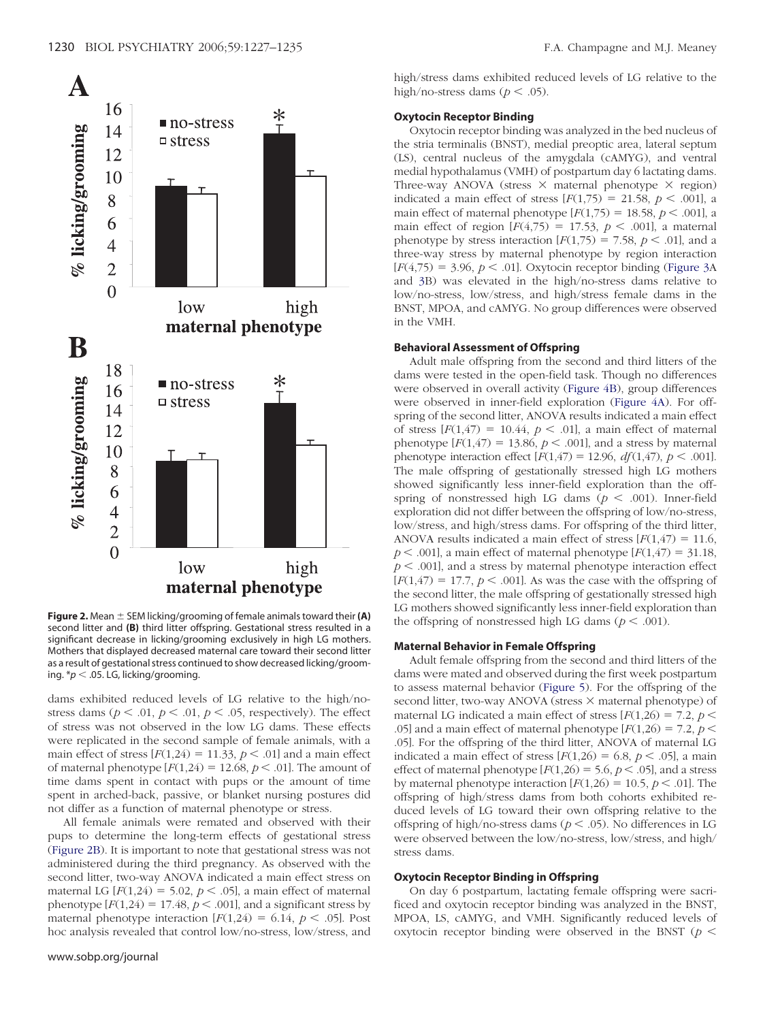<span id="page-3-0"></span>

**Figure 2.** Mean  $\pm$  SEM licking/grooming of female animals toward their (A) second litter and **(B)** third litter offspring. Gestational stress resulted in a significant decrease in licking/grooming exclusively in high LG mothers. Mothers that displayed decreased maternal care toward their second litter as a result of gestational stress continued to show decreased licking/grooming. \* $p < .05$ . LG, licking/grooming.

dams exhibited reduced levels of LG relative to the high/nostress dams ( $p < .01$ ,  $p < .01$ ,  $p < .05$ , respectively). The effect of stress was not observed in the low LG dams. These effects were replicated in the second sample of female animals, with a main effect of stress  $[F(1,24) = 11.33, p \lt 0.01]$  and a main effect of maternal phenotype  $[F(1,24) = 12.68, p < .01]$ . The amount of time dams spent in contact with pups or the amount of time spent in arched-back, passive, or blanket nursing postures did not differ as a function of maternal phenotype or stress.

All female animals were remated and observed with their pups to determine the long-term effects of gestational stress (Figure 2B). It is important to note that gestational stress was not administered during the third pregnancy. As observed with the second litter, two-way ANOVA indicated a main effect stress on maternal LG  $[F(1,24) = 5.02, p < .05]$ , a main effect of maternal phenotype  $[F(1,24) = 17.48, p \le 0.001]$ , and a significant stress by maternal phenotype interaction  $[F(1,24) = 6.14, p < .05]$ . Post hoc analysis revealed that control low/no-stress, low/stress, and high/stress dams exhibited reduced levels of LG relative to the high/no-stress dams ( $p < .05$ ).

## **Oxytocin Receptor Binding**

Oxytocin receptor binding was analyzed in the bed nucleus of the stria terminalis (BNST), medial preoptic area, lateral septum (LS), central nucleus of the amygdala (cAMYG), and ventral medial hypothalamus (VMH) of postpartum day 6 lactating dams. Three-way ANOVA (stress  $\times$  maternal phenotype  $\times$  region) indicated a main effect of stress  $[F(1,75) = 21.58, p < .001]$ , a main effect of maternal phenotype  $[F(1,75) = 18.58, p \le .001]$ , a main effect of region  $[F(4,75) = 17.53, p < .001]$ , a maternal phenotype by stress interaction  $[F(1,75) = 7.58, p \le .01]$ , and a three-way stress by maternal phenotype by region interaction  $[F(4,75) = 3.96, p < .01]$ . Oxytocin receptor binding [\(Figure](#page-4-0) 3A) and [3B](#page-4-0)) was elevated in the high/no-stress dams relative to low/no-stress, low/stress, and high/stress female dams in the BNST, MPOA, and cAMYG. No group differences were observed in the VMH.

#### **Behavioral Assessment of Offspring**

Adult male offspring from the second and third litters of the dams were tested in the open-field task. Though no differences were observed in overall activity [\(Figure](#page-4-0) 4B), group differences were observed in inner-field exploration [\(Figure](#page-4-0) 4A). For offspring of the second litter, ANOVA results indicated a main effect of stress  $[F(1,47) = 10.44, p < .01]$ , a main effect of maternal phenotype  $[F(1,47) = 13.86, p < .001]$ , and a stress by maternal phenotype interaction effect  $[F(1,47) = 12.96, df(1,47), p < .001]$ . The male offspring of gestationally stressed high LG mothers showed significantly less inner-field exploration than the offspring of nonstressed high LG dams ( $p < .001$ ). Inner-field exploration did not differ between the offspring of low/no-stress, low/stress, and high/stress dams. For offspring of the third litter, ANOVA results indicated a main effect of stress  $[F(1,47) = 11.6]$ ,  $p$  < .001], a main effect of maternal phenotype  $[F(1,47) = 31.18]$ ,  $p < .001$ , and a stress by maternal phenotype interaction effect  $[F(1,47) = 17.7, p < .001]$ . As was the case with the offspring of the second litter, the male offspring of gestationally stressed high LG mothers showed significantly less inner-field exploration than the offspring of nonstressed high LG dams ( $p < .001$ ).

#### **Maternal Behavior in Female Offspring**

Adult female offspring from the second and third litters of the dams were mated and observed during the first week postpartum to assess maternal behavior [\(Figure](#page-5-0) 5). For the offspring of the second litter, two-way ANOVA (stress  $\times$  maternal phenotype) of maternal LG indicated a main effect of stress  $[F(1,26) = 7.2, p <$ .05] and a main effect of maternal phenotype  $[F(1,26) = 7.2, p <$ .05]. For the offspring of the third litter, ANOVA of maternal LG indicated a main effect of stress  $[F(1,26) = 6.8, p < .05]$ , a main effect of maternal phenotype  $[F(1,26) = 5.6, p < .05]$ , and a stress by maternal phenotype interaction  $[F(1,26) = 10.5, p < .01]$ . The offspring of high/stress dams from both cohorts exhibited reduced levels of LG toward their own offspring relative to the offspring of high/no-stress dams ( $p < .05$ ). No differences in LG were observed between the low/no-stress, low/stress, and high/ stress dams.

#### **Oxytocin Receptor Binding in Offspring**

On day 6 postpartum, lactating female offspring were sacrificed and oxytocin receptor binding was analyzed in the BNST, MPOA, LS, cAMYG, and VMH. Significantly reduced levels of oxytocin receptor binding were observed in the BNST ( $p <$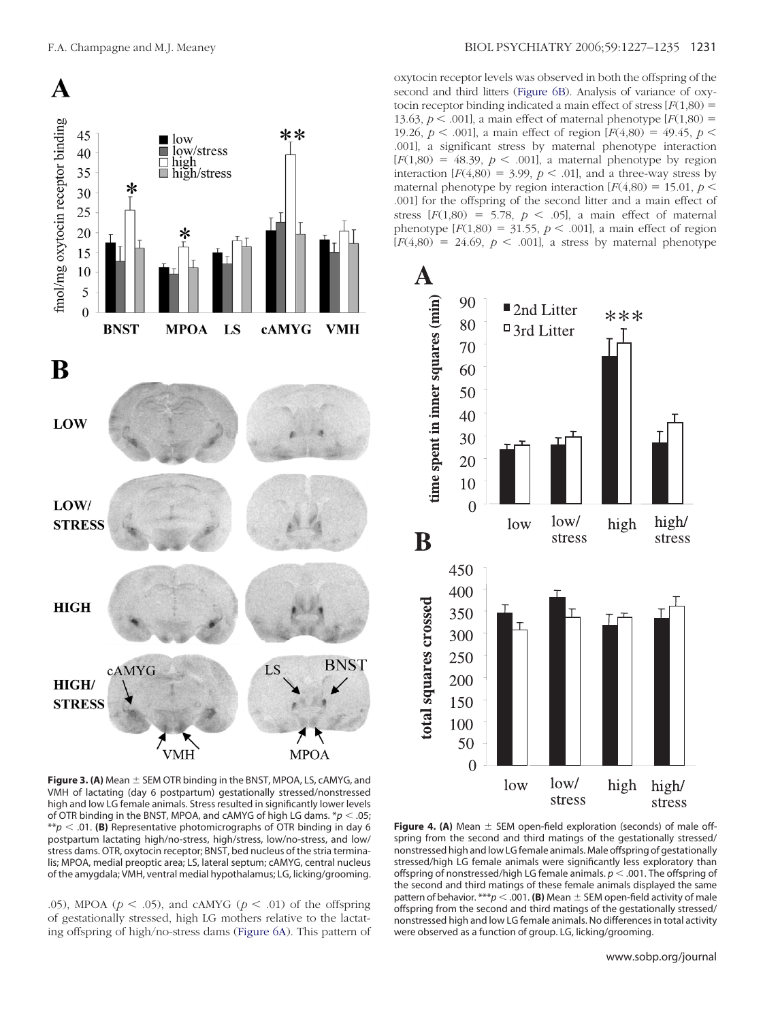<span id="page-4-0"></span>

oxytocin receptor levels was observed in both the offspring of the second and third litters [\(Figure](#page-5-0) 6B). Analysis of variance of oxytocin receptor binding indicated a main effect of stress  $[F(1,80) =$ 13.63,  $p < .001$ ], a main effect of maternal phenotype  $[F(1,80) =$ 19.26,  $p < .001$ ], a main effect of region  $[F(4,80) = 49.45, p <$ .001], a significant stress by maternal phenotype interaction  $[F(1,80) = 48.39, p < .001]$ , a maternal phenotype by region interaction  $[F(4,80) = 3.99, p \lt 0.01]$ , and a three-way stress by maternal phenotype by region interaction  $[F(4,80) = 15.01, p \le$ .001] for the offspring of the second litter and a main effect of stress  $[F(1,80) = 5.78, p < .05]$ , a main effect of maternal phenotype  $[F(1,80) = 31.55, p \lt .001]$ , a main effect of region  $[F(4,80) = 24.69, p < .001]$ , a stress by maternal phenotype



**Figure 3. (A)** Mean  $\pm$  SEM OTR binding in the BNST, MPOA, LS, cAMYG, and VMH of lactating (day 6 postpartum) gestationally stressed/nonstressed high and low LG female animals. Stress resulted in significantly lower levels of OTR binding in the BNST, MPOA, and cAMYG of high LG dams.  $p < .05$ ; \*\* $p < .01$ . (B) Representative photomicrographs of OTR binding in day 6 postpartum lactating high/no-stress, high/stress, low/no-stress, and low/ stress dams. OTR, oxytocin receptor; BNST, bed nucleus of the stria terminalis; MPOA, medial preoptic area; LS, lateral septum; cAMYG, central nucleus of the amygdala; VMH, ventral medial hypothalamus; LG, licking/grooming.

.05), MPOA ( $p < .05$ ), and cAMYG ( $p < .01$ ) of the offspring of gestationally stressed, high LG mothers relative to the lactating offspring of high/no-stress dams [\(Figure](#page-5-0) 6A). This pattern of

**Figure 4. (A)** Mean  $\pm$  SEM open-field exploration (seconds) of male offspring from the second and third matings of the gestationally stressed/ nonstressed high and low LG female animals. Male offspring of gestationally stressed/high LG female animals were significantly less exploratory than offspring of nonstressed/high LG female animals.  $p < .001$ . The offspring of the second and third matings of these female animals displayed the same pattern of behavior. \*\*\* $p < .001$ . (B) Mean  $\pm$  SEM open-field activity of male offspring from the second and third matings of the gestationally stressed/ nonstressed high and low LG female animals. No differences in total activity were observed as a function of group. LG, licking/grooming.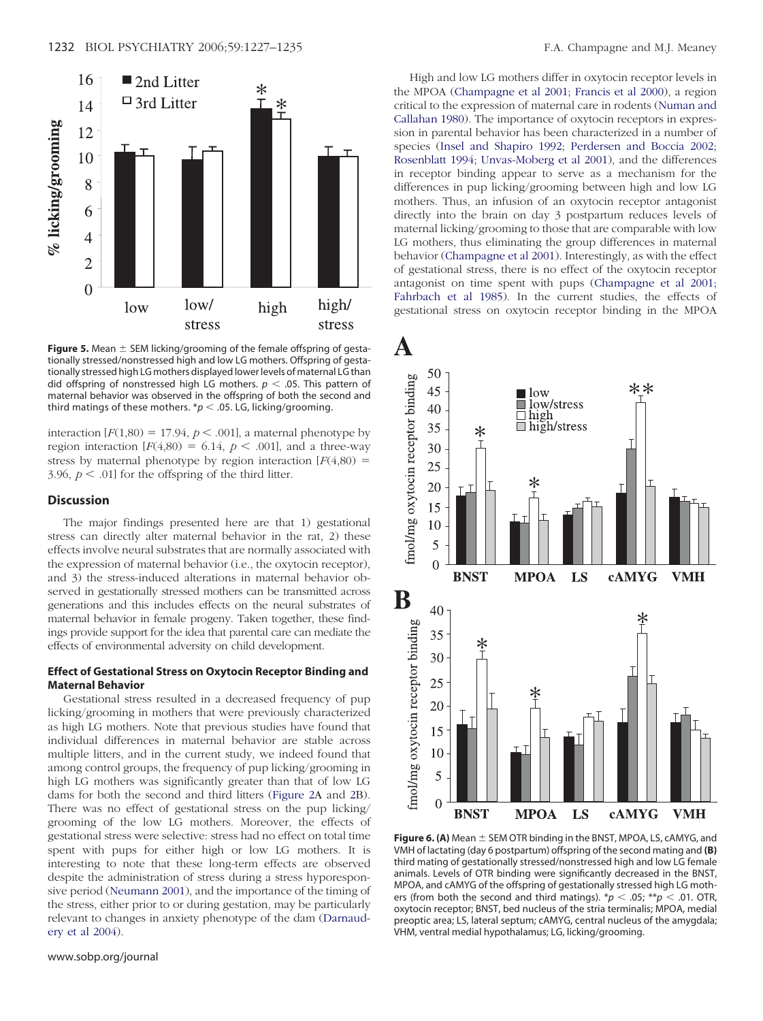<span id="page-5-0"></span>

**Figure 5.** Mean  $\pm$  SEM licking/grooming of the female offspring of gestationally stressed/nonstressed high and low LG mothers. Offspring of gestationally stressed high LG mothers displayed lower levels of maternal LG than did offspring of nonstressed high LG mothers.  $p < .05$ . This pattern of maternal behavior was observed in the offspring of both the second and third matings of these mothers.  $p < .05$ . LG, licking/grooming.

interaction  $[F(1,80) = 17.94, p < .001]$ , a maternal phenotype by region interaction  $[F(4,80) = 6.14, p < .001]$ , and a three-way stress by maternal phenotype by region interaction  $[F(4,80) =$ 3.96,  $p < .01$  for the offspring of the third litter.

#### **Discussion**

The major findings presented here are that 1) gestational stress can directly alter maternal behavior in the rat, 2) these effects involve neural substrates that are normally associated with the expression of maternal behavior (i.e., the oxytocin receptor), and 3) the stress-induced alterations in maternal behavior observed in gestationally stressed mothers can be transmitted across generations and this includes effects on the neural substrates of maternal behavior in female progeny. Taken together, these findings provide support for the idea that parental care can mediate the effects of environmental adversity on child development.

#### **Effect of Gestational Stress on Oxytocin Receptor Binding and Maternal Behavior**

Gestational stress resulted in a decreased frequency of pup licking/grooming in mothers that were previously characterized as high LG mothers. Note that previous studies have found that individual differences in maternal behavior are stable across multiple litters, and in the current study, we indeed found that among control groups, the frequency of pup licking/grooming in high LG mothers was significantly greater than that of low LG dams for both the second and third litters [\(Figure](#page-3-0) 2A and [2B](#page-3-0)). There was no effect of gestational stress on the pup licking/ grooming of the low LG mothers. Moreover, the effects of gestational stress were selective: stress had no effect on total time spent with pups for either high or low LG mothers. It is interesting to note that these long-term effects are observed despite the administration of stress during a stress hyporesponsive period [\(Neumann](#page-8-0) 2001), and the importance of the timing of the stress, either prior to or during gestation, may be particularly relevant to changes in anxiety phenotype of the dam [\(Darnaud](#page-7-0)ery et al [2004\)](#page-7-0).

High and low LG mothers differ in oxytocin receptor levels in the MPOA [\(Champagne](#page-7-0) et al 2001; Francis et al 2000), a region critical to the expression of maternal care in rodents [\(Numan](#page-8-0) and [Callahan](#page-8-0) 1980). The importance of oxytocin receptors in expression in parental behavior has been characterized in a number of species (Insel and Shapiro 1992; [Perdersen](#page-7-0) and Boccia 2002; Rosenblatt 1994; [Unvas-Moberg](#page-7-0) et al 2001), and the differences in receptor binding appear to serve as a mechanism for the differences in pup licking/grooming between high and low LG mothers. Thus, an infusion of an oxytocin receptor antagonist directly into the brain on day 3 postpartum reduces levels of maternal licking/grooming to those that are comparable with low LG mothers, thus eliminating the group differences in maternal behavior [\(Champagne](#page-7-0) et al 2001). Interestingly, as with the effect of gestational stress, there is no effect of the oxytocin receptor antagonist on time spent with pups [\(Champagne](#page-7-0) et al 2001; [Fahrbach](#page-7-0) et al 1985). In the current studies, the effects of gestational stress on oxytocin receptor binding in the MPOA



**Figure 6. (A)** Mean  $\pm$  SEM OTR binding in the BNST, MPOA, LS, cAMYG, and VMH of lactating (day 6 postpartum) offspring of the second mating and **(B)** third mating of gestationally stressed/nonstressed high and low LG female animals. Levels of OTR binding were significantly decreased in the BNST, MPOA, and cAMYG of the offspring of gestationally stressed high LG mothers (from both the second and third matings).  $\pi p < .05$ ;  $\pi p < .01$ . OTR, oxytocin receptor; BNST, bed nucleus of the stria terminalis; MPOA, medial preoptic area; LS, lateral septum; cAMYG, central nucleus of the amygdala; VHM, ventral medial hypothalamus; LG, licking/grooming.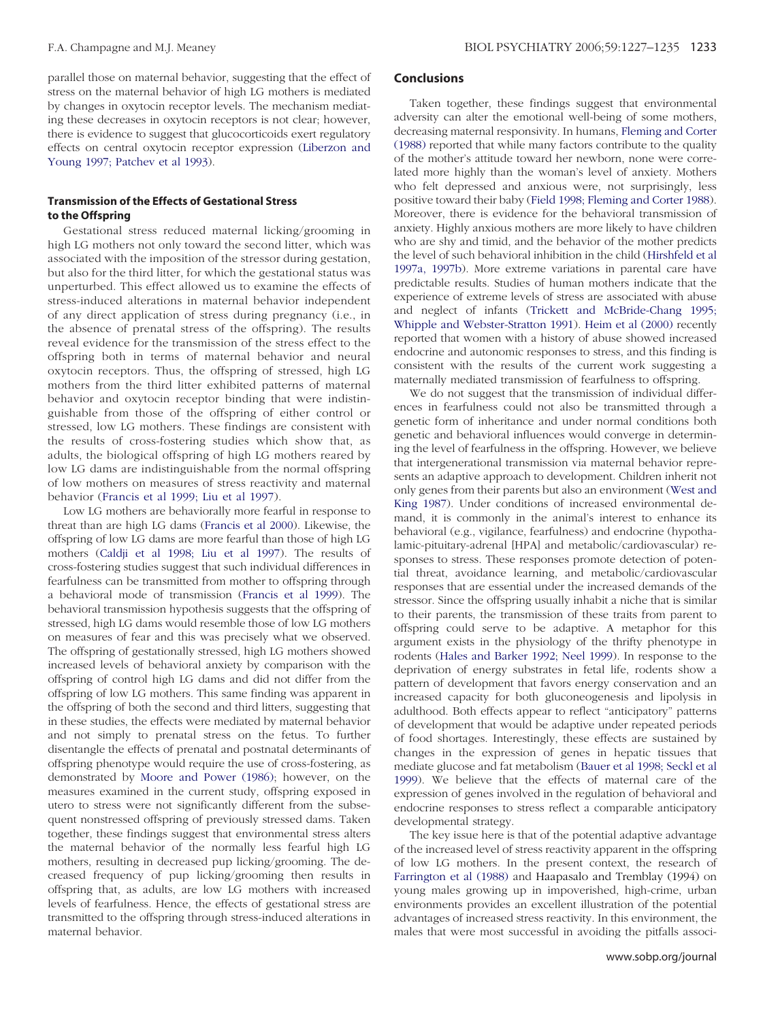parallel those on maternal behavior, suggesting that the effect of stress on the maternal behavior of high LG mothers is mediated by changes in oxytocin receptor levels. The mechanism mediating these decreases in oxytocin receptors is not clear; however, there is evidence to suggest that glucocorticoids exert regulatory effects on central oxytocin receptor expression [\(Liberzon](#page-8-0) and Young 1997; [Patchev](#page-8-0) et al 1993).

## **Transmission of the Effects of Gestational Stress to the Offspring**

Gestational stress reduced maternal licking/grooming in high LG mothers not only toward the second litter, which was associated with the imposition of the stressor during gestation, but also for the third litter, for which the gestational status was unperturbed. This effect allowed us to examine the effects of stress-induced alterations in maternal behavior independent of any direct application of stress during pregnancy (i.e., in the absence of prenatal stress of the offspring). The results reveal evidence for the transmission of the stress effect to the offspring both in terms of maternal behavior and neural oxytocin receptors. Thus, the offspring of stressed, high LG mothers from the third litter exhibited patterns of maternal behavior and oxytocin receptor binding that were indistinguishable from those of the offspring of either control or stressed, low LG mothers. These findings are consistent with the results of cross-fostering studies which show that, as adults, the biological offspring of high LG mothers reared by low LG dams are indistinguishable from the normal offspring of low mothers on measures of stress reactivity and maternal behavior [\(Francis](#page-7-0) et al 1999; Liu et al 1997).

Low LG mothers are behaviorally more fearful in response to threat than are high LG dams [\(Francis](#page-7-0) et al 2000). Likewise, the offspring of low LG dams are more fearful than those of high LG mothers [\(Caldji](#page-7-0) et al 1998; Liu et al 1997). The results of cross-fostering studies suggest that such individual differences in fearfulness can be transmitted from mother to offspring through a behavioral mode of transmission [\(Francis](#page-7-0) et al 1999). The behavioral transmission hypothesis suggests that the offspring of stressed, high LG dams would resemble those of low LG mothers on measures of fear and this was precisely what we observed. The offspring of gestationally stressed, high LG mothers showed increased levels of behavioral anxiety by comparison with the offspring of control high LG dams and did not differ from the offspring of low LG mothers. This same finding was apparent in the offspring of both the second and third litters, suggesting that in these studies, the effects were mediated by maternal behavior and not simply to prenatal stress on the fetus. To further disentangle the effects of prenatal and postnatal determinants of offspring phenotype would require the use of cross-fostering, as demonstrated by Moore and Power [\(1986\);](#page-8-0) however, on the measures examined in the current study, offspring exposed in utero to stress were not significantly different from the subsequent nonstressed offspring of previously stressed dams. Taken together, these findings suggest that environmental stress alters the maternal behavior of the normally less fearful high LG mothers, resulting in decreased pup licking/grooming. The decreased frequency of pup licking/grooming then results in offspring that, as adults, are low LG mothers with increased levels of fearfulness. Hence, the effects of gestational stress are transmitted to the offspring through stress-induced alterations in maternal behavior.

## **Conclusions**

Taken together, these findings suggest that environmental adversity can alter the emotional well-being of some mothers, decreasing maternal responsivity. In humans, [Fleming](#page-7-0) and Corter [\(1988\)](#page-7-0) reported that while many factors contribute to the quality of the mother's attitude toward her newborn, none were correlated more highly than the woman's level of anxiety. Mothers who felt depressed and anxious were, not surprisingly, less positive toward their baby (Field 1998; [Fleming](#page-7-0) and Corter 1988). Moreover, there is evidence for the behavioral transmission of anxiety. Highly anxious mothers are more likely to have children who are shy and timid, and the behavior of the mother predicts the level of such behavioral inhibition in the child [\(Hirshfeld](#page-7-0) et al [1997a,](#page-7-0) 1997b). More extreme variations in parental care have predictable results. Studies of human mothers indicate that the experience of extreme levels of stress are associated with abuse and neglect of infants (Trickett and [McBride-Chang](#page-8-0) 1995; Whipple and [Webster-Stratton](#page-8-0) 1991). Heim et al [\(2000\)](#page-7-0) recently reported that women with a history of abuse showed increased endocrine and autonomic responses to stress, and this finding is consistent with the results of the current work suggesting a maternally mediated transmission of fearfulness to offspring.

We do not suggest that the transmission of individual differences in fearfulness could not also be transmitted through a genetic form of inheritance and under normal conditions both genetic and behavioral influences would converge in determining the level of fearfulness in the offspring. However, we believe that intergenerational transmission via maternal behavior represents an adaptive approach to development. Children inherit not only genes from their parents but also an environment [\(West](#page-8-0) and King [1987\)](#page-8-0). Under conditions of increased environmental demand, it is commonly in the animal's interest to enhance its behavioral (e.g., vigilance, fearfulness) and endocrine (hypothalamic-pituitary-adrenal [HPA] and metabolic/cardiovascular) responses to stress. These responses promote detection of potential threat, avoidance learning, and metabolic/cardiovascular responses that are essential under the increased demands of the stressor. Since the offspring usually inhabit a niche that is similar to their parents, the transmission of these traits from parent to offspring could serve to be adaptive. A metaphor for this argument exists in the physiology of the thrifty phenotype in rodents (Hales and [Barker](#page-7-0) 1992; Neel 1999). In response to the deprivation of energy substrates in fetal life, rodents show a pattern of development that favors energy conservation and an increased capacity for both gluconeogenesis and lipolysis in adulthood. Both effects appear to reflect "anticipatory" patterns of development that would be adaptive under repeated periods of food shortages. Interestingly, these effects are sustained by changes in the expression of genes in hepatic tissues that mediate glucose and fat metabolism [\(Bauer](#page-7-0) et al 1998; Seckl et al [1999\)](#page-7-0). We believe that the effects of maternal care of the expression of genes involved in the regulation of behavioral and endocrine responses to stress reflect a comparable anticipatory developmental strategy.

The key issue here is that of the potential adaptive advantage of the increased level of stress reactivity apparent in the offspring of low LG mothers. In the present context, the research of [Farrington](#page-7-0) et al (1988) and Haapasalo and Tremblay (1994) on young males growing up in impoverished, high-crime, urban environments provides an excellent illustration of the potential advantages of increased stress reactivity. In this environment, the males that were most successful in avoiding the pitfalls associ-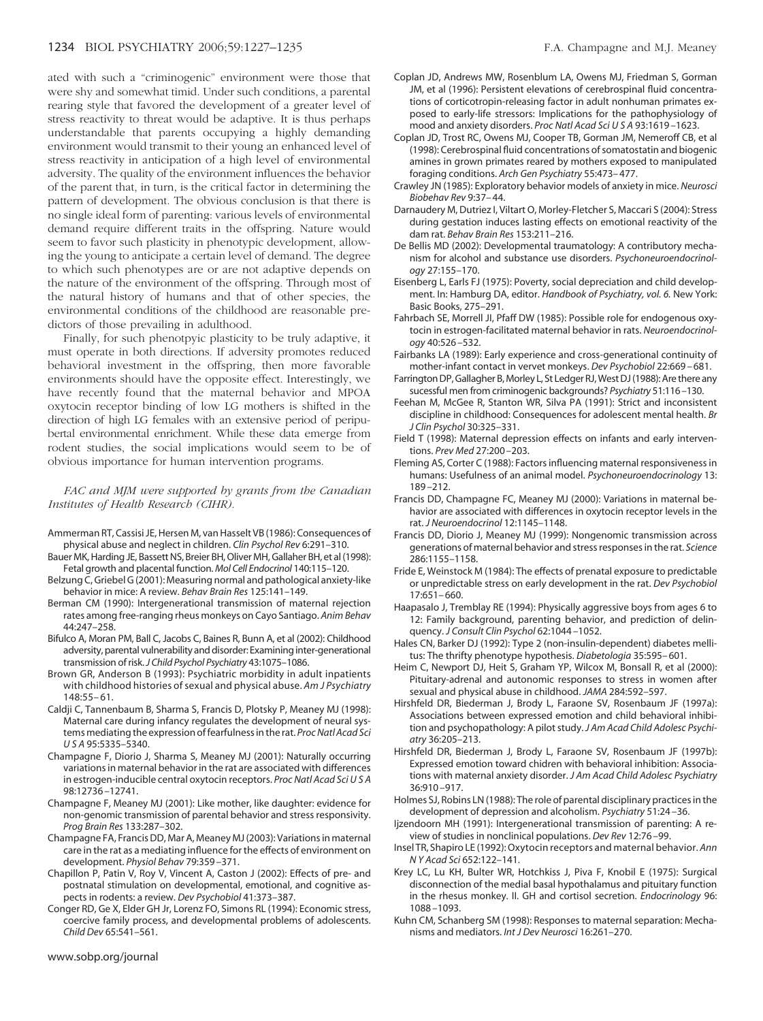<span id="page-7-0"></span>ated with such a "criminogenic" environment were those that were shy and somewhat timid. Under such conditions, a parental rearing style that favored the development of a greater level of stress reactivity to threat would be adaptive. It is thus perhaps understandable that parents occupying a highly demanding environment would transmit to their young an enhanced level of stress reactivity in anticipation of a high level of environmental adversity. The quality of the environment influences the behavior of the parent that, in turn, is the critical factor in determining the pattern of development. The obvious conclusion is that there is no single ideal form of parenting: various levels of environmental demand require different traits in the offspring. Nature would seem to favor such plasticity in phenotypic development, allowing the young to anticipate a certain level of demand. The degree to which such phenotypes are or are not adaptive depends on the nature of the environment of the offspring. Through most of the natural history of humans and that of other species, the environmental conditions of the childhood are reasonable predictors of those prevailing in adulthood.

Finally, for such phenotpyic plasticity to be truly adaptive, it must operate in both directions. If adversity promotes reduced behavioral investment in the offspring, then more favorable environments should have the opposite effect. Interestingly, we have recently found that the maternal behavior and MPOA oxytocin receptor binding of low LG mothers is shifted in the direction of high LG females with an extensive period of peripubertal environmental enrichment. While these data emerge from rodent studies, the social implications would seem to be of obvious importance for human intervention programs.

*FAC and MJM were supported by grants from the Canadian Institutes of Health Research (CIHR).*

- Ammerman RT, Cassisi JE, Hersen M, van Hasselt VB (1986): Consequences of physical abuse and neglect in children. *Clin Psychol Rev* 6:291–310.
- Bauer MK, Harding JE, Bassett NS, Breier BH, Oliver MH, Gallaher BH, et al (1998): Fetal growth and placental function. *Mol Cell Endocrinol* 140:115–120.
- Belzung C, Griebel G (2001): Measuring normal and pathological anxiety-like behavior in mice: A review. *Behav Brain Res* 125:141–149.
- Berman CM (1990): Intergenerational transmission of maternal rejection rates among free-ranging rheus monkeys on Cayo Santiago. *Anim Behav* 44:247–258.
- Bifulco A, Moran PM, Ball C, Jacobs C, Baines R, Bunn A, et al (2002): Childhood adversity, parental vulnerability and disorder: Examining inter-generational transmission of risk.*J Child Psychol Psychiatry* 43:1075–1086.
- Brown GR, Anderson B (1993): Psychiatric morbidity in adult inpatients with childhood histories of sexual and physical abuse. *Am J Psychiatry* 148:55– 61.
- Caldji C, Tannenbaum B, Sharma S, Francis D, Plotsky P, Meaney MJ (1998): Maternal care during infancy regulates the development of neural systems mediating the expression offearfulness in the rat. *Proc Natl Acad Sci USA* 95:5335–5340.
- Champagne F, Diorio J, Sharma S, Meaney MJ (2001): Naturally occurring variations in maternal behavior in the rat are associated with differences in estrogen-inducible central oxytocin receptors. *Proc Natl Acad SciUSA* 98:12736 –12741.
- Champagne F, Meaney MJ (2001): Like mother, like daughter: evidence for non-genomic transmission of parental behavior and stress responsivity. *Prog Brain Res* 133:287–302.
- Champagne FA, Francis DD, Mar A, Meaney MJ (2003): Variations in maternal care in the rat as a mediating influence for the effects of environment on development. *Physiol Behav* 79:359 –371.
- Chapillon P, Patin V, Roy V, Vincent A, Caston J (2002): Effects of pre- and postnatal stimulation on developmental, emotional, and cognitive aspects in rodents: a review. *Dev Psychobiol* 41:373–387.
- Conger RD, Ge X, Elder GH Jr, Lorenz FO, Simons RL (1994): Economic stress, coercive family process, and developmental problems of adolescents. *Child Dev* 65:541–561.
- Coplan JD, Andrews MW, Rosenblum LA, Owens MJ, Friedman S, Gorman JM, et al (1996): Persistent elevations of cerebrospinal fluid concentrations of corticotropin-releasing factor in adult nonhuman primates exposed to early-life stressors: Implications for the pathophysiology of mood and anxiety disorders. *Proc Natl Acad SciUSA* 93:1619 –1623.
- Coplan JD, Trost RC, Owens MJ, Cooper TB, Gorman JM, Nemeroff CB, et al (1998): Cerebrospinal fluid concentrations of somatostatin and biogenic amines in grown primates reared by mothers exposed to manipulated foraging conditions. *Arch Gen Psychiatry* 55:473– 477.
- Crawley JN (1985): Exploratory behavior models of anxiety in mice. *Neurosci Biobehav Rev* 9:37– 44.
- Darnaudery M, Dutriez I, Viltart O, Morley-Fletcher S, Maccari S (2004): Stress during gestation induces lasting effects on emotional reactivity of the dam rat. *Behav Brain Res* 153:211–216.
- De Bellis MD (2002): Developmental traumatology: A contributory mechanism for alcohol and substance use disorders. *Psychoneuroendocrinology* 27:155–170.
- Eisenberg L, Earls FJ (1975): Poverty, social depreciation and child development. In: Hamburg DA, editor. *Handbook of Psychiatry, vol. 6.* New York: Basic Books, 275–291.
- Fahrbach SE, Morrell JI, Pfaff DW (1985): Possible role for endogenous oxytocin in estrogen-facilitated maternal behavior in rats. *Neuroendocrinology* 40:526 –532.
- Fairbanks LA (1989): Early experience and cross-generational continuity of mother-infant contact in vervet monkeys. *Dev Psychobiol* 22:669 – 681.
- Farrington DP, Gallagher B, Morley L, St Ledger RJ,West DJ(1988): Are there any sucessful men from criminogenic backgrounds? *Psychiatry* 51:116 –130.
- Feehan M, McGee R, Stanton WR, Silva PA (1991): Strict and inconsistent discipline in childhood: Consequences for adolescent mental health. *Br J Clin Psychol* 30:325–331.
- Field T (1998): Maternal depression effects on infants and early interventions. *Prev Med* 27:200 –203.
- Fleming AS, Corter C (1988): Factors influencing maternal responsiveness in humans: Usefulness of an animal model. *Psychoneuroendocrinology* 13: 189 –212.
- Francis DD, Champagne FC, Meaney MJ (2000): Variations in maternal behavior are associated with differences in oxytocin receptor levels in the rat. *J Neuroendocrinol* 12:1145–1148.
- Francis DD, Diorio J, Meaney MJ (1999): Nongenomic transmission across generations of maternal behavior and stress responses in the rat. *Science* 286:1155–1158.
- Fride E, Weinstock M (1984): The effects of prenatal exposure to predictable or unpredictable stress on early development in the rat. *Dev Psychobiol* 17:651– 660.
- Haapasalo J, Tremblay RE (1994): Physically aggressive boys from ages 6 to 12: Family background, parenting behavior, and prediction of delinquency. *J Consult Clin Psychol* 62:1044 –1052.
- Hales CN, Barker DJ (1992): Type 2 (non-insulin-dependent) diabetes mellitus: The thrifty phenotype hypothesis. *Diabetologia* 35:595– 601.
- Heim C, Newport DJ, Heit S, Graham YP, Wilcox M, Bonsall R, et al (2000): Pituitary-adrenal and autonomic responses to stress in women after sexual and physical abuse in childhood. *JAMA* 284:592–597.
- Hirshfeld DR, Biederman J, Brody L, Faraone SV, Rosenbaum JF (1997a): Associations between expressed emotion and child behavioral inhibition and psychopathology: A pilot study.*J Am Acad Child Adolesc Psychiatry* 36:205–213.
- Hirshfeld DR, Biederman J, Brody L, Faraone SV, Rosenbaum JF (1997b): Expressed emotion toward chidren with behavioral inhibition: Associations with maternal anxiety disorder. *J Am Acad Child Adolesc Psychiatry* 36:910 –917.
- Holmes SJ, Robins LN (1988): The role of parental disciplinary practices in the development of depression and alcoholism. *Psychiatry* 51:24 –36.
- Ijzendoorn MH (1991): Intergenerational transmission of parenting: A review of studies in nonclinical populations. *Dev Rev* 12:76 –99.
- Insel TR, Shapiro LE (1992):Oxytocin receptors and maternal behavior. *Ann N Y Acad Sci* 652:122–141.
- Krey LC, Lu KH, Bulter WR, Hotchkiss J, Piva F, Knobil E (1975): Surgical disconnection of the medial basal hypothalamus and pituitary function in the rhesus monkey. II. GH and cortisol secretion. *Endocrinology* 96: 1088 –1093.
- Kuhn CM, Schanberg SM (1998): Responses to maternal separation: Mechanisms and mediators. *Int J Dev Neurosci* 16:261–270.